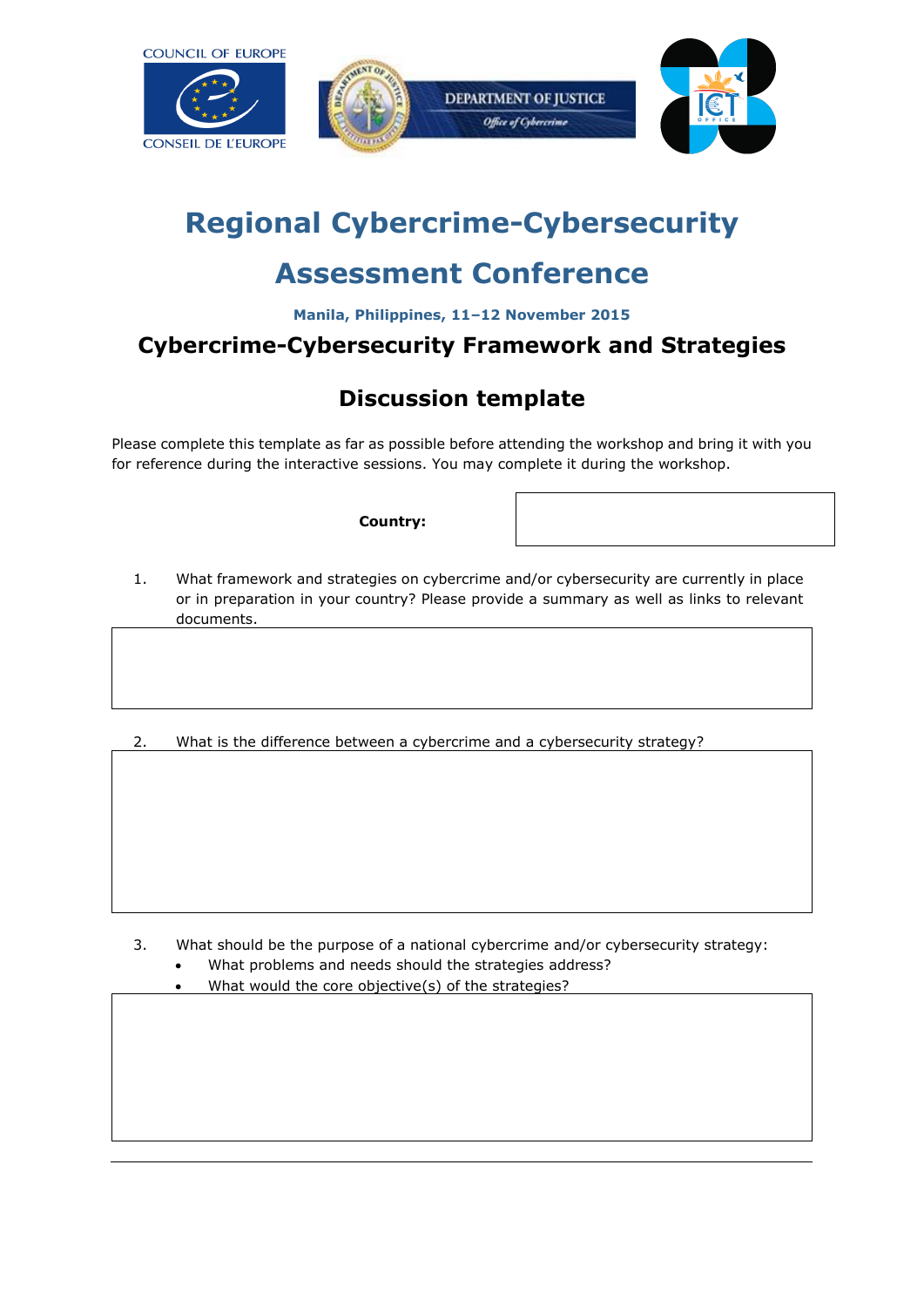



## **Regional Cybercrime-Cybersecurity**

## **Assessment Conference**

**Manila, Philippines, 11–12 November 2015**

## **Cybercrime-Cybersecurity Framework and Strategies**

## **Discussion template**

Please complete this template as far as possible before attending the workshop and bring it with you for reference during the interactive sessions. You may complete it during the workshop.

**Country:**

- 1. What framework and strategies on cybercrime and/or cybersecurity are currently in place or in preparation in your country? Please provide a summary as well as links to relevant documents.
- 2. What is the difference between a cybercrime and a cybersecurity strategy?

- 3. What should be the purpose of a national cybercrime and/or cybersecurity strategy:
	- What problems and needs should the strategies address?
	- What would the core objective(s) of the strategies?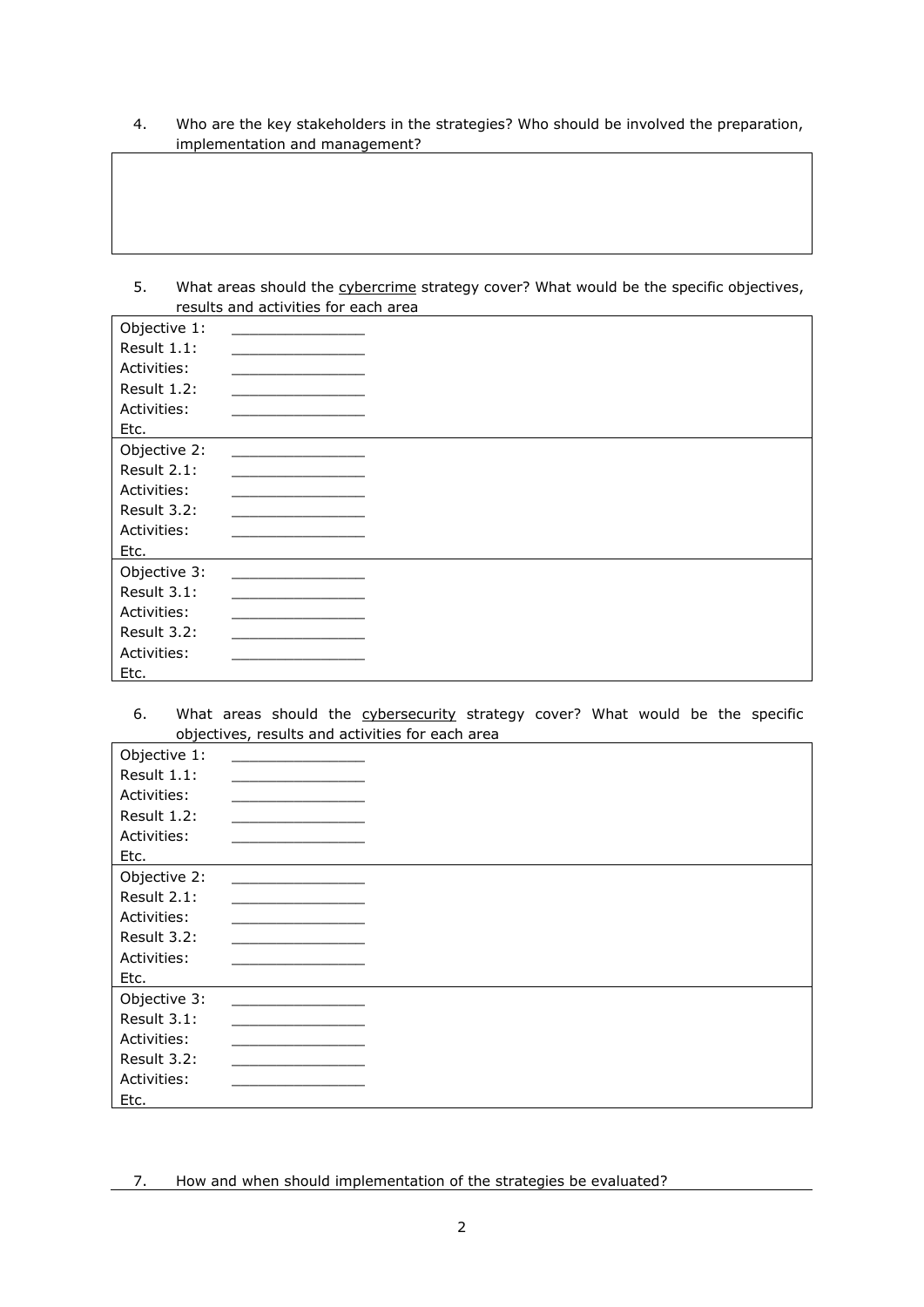- 4. Who are the key stakeholders in the strategies? Who should be involved the preparation, implementation and management?
- 5. What areas should the cybercrime strategy cover? What would be the specific objectives, results and activities for each area

| Objective 1: |  |
|--------------|--|
| Result 1.1:  |  |
| Activities:  |  |
| Result 1.2:  |  |
| Activities:  |  |
| Etc.         |  |
| Objective 2: |  |
| Result 2.1:  |  |
| Activities:  |  |
| Result 3.2:  |  |
| Activities:  |  |
| Etc.         |  |
| Objective 3: |  |
| Result 3.1:  |  |
| Activities:  |  |
| Result 3.2:  |  |
| Activities:  |  |
| Etc.         |  |

6. What areas should the cybersecurity strategy cover? What would be the specific objectives, results and activities for each area

| Objective 1: |  |
|--------------|--|
| Result 1.1:  |  |
| Activities:  |  |
| Result 1.2:  |  |
| Activities:  |  |
| Etc.         |  |
| Objective 2: |  |
| Result 2.1:  |  |
| Activities:  |  |
| Result 3.2:  |  |
| Activities:  |  |
| Etc.         |  |
| Objective 3: |  |
| Result 3.1:  |  |
| Activities:  |  |
| Result 3.2:  |  |
| Activities:  |  |
| Etc.         |  |

7. How and when should implementation of the strategies be evaluated?